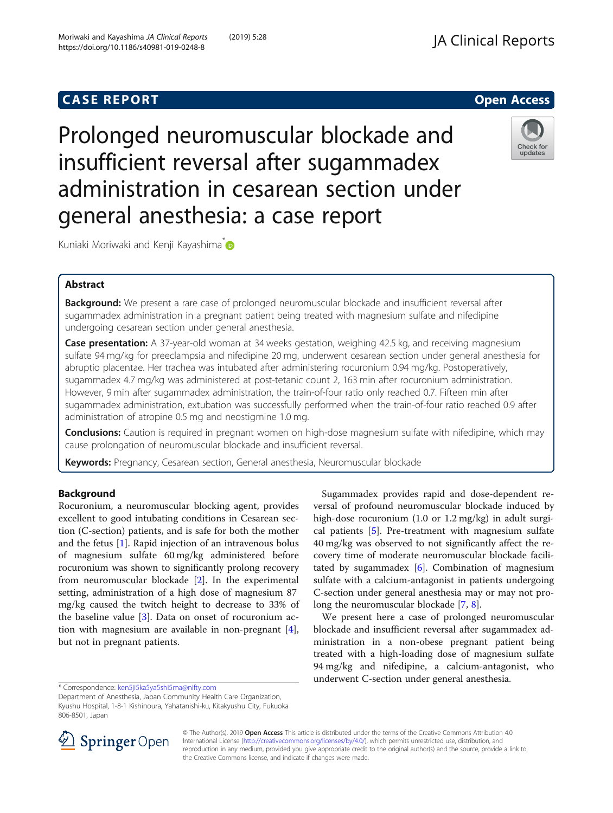# **CASE REPORT And SERVICE SERVICE SERVICE SERVICE SERVICE SERVICE SERVICE SERVICE SERVICE SERVICE SERVICE SERVICE**

Prolonged neuromuscular blockade and insufficient reversal after sugammadex administration in cesarean section under general anesthesia: a case report



Kuniaki Moriwaki and Kenji Kayashima<sup>\*</sup>

## Abstract

Background: We present a rare case of prolonged neuromuscular blockade and insufficient reversal after sugammadex administration in a pregnant patient being treated with magnesium sulfate and nifedipine undergoing cesarean section under general anesthesia.

Case presentation: A 37-year-old woman at 34 weeks gestation, weighing 42.5 kg, and receiving magnesium sulfate 94 mg/kg for preeclampsia and nifedipine 20 mg, underwent cesarean section under general anesthesia for abruptio placentae. Her trachea was intubated after administering rocuronium 0.94 mg/kg. Postoperatively, sugammadex 4.7 mg/kg was administered at post-tetanic count 2, 163 min after rocuronium administration. However, 9 min after sugammadex administration, the train-of-four ratio only reached 0.7. Fifteen min after sugammadex administration, extubation was successfully performed when the train-of-four ratio reached 0.9 after administration of atropine 0.5 mg and neostigmine 1.0 mg.

**Conclusions:** Caution is required in pregnant women on high-dose magnesium sulfate with nifedipine, which may cause prolongation of neuromuscular blockade and insufficient reversal.

Keywords: Pregnancy, Cesarean section, General anesthesia, Neuromuscular blockade

## Background

Rocuronium, a neuromuscular blocking agent, provides excellent to good intubating conditions in Cesarean section (C-section) patients, and is safe for both the mother and the fetus [\[1](#page-2-0)]. Rapid injection of an intravenous bolus of magnesium sulfate 60 mg/kg administered before rocuronium was shown to significantly prolong recovery from neuromuscular blockade [\[2](#page-2-0)]. In the experimental setting, administration of a high dose of magnesium 87 mg/kg caused the twitch height to decrease to 33% of the baseline value [[3\]](#page-2-0). Data on onset of rocuronium action with magnesium are available in non-pregnant [\[4](#page-2-0)], but not in pregnant patients.

\* Correspondence: [ken5ji5ka5ya5shi5ma@nifty.com](mailto:ken5ji5ka5ya5shi5ma@nifty.com)

Sugammadex provides rapid and dose-dependent reversal of profound neuromuscular blockade induced by high-dose rocuronium (1.0 or 1.2 mg/kg) in adult surgical patients [[5\]](#page-2-0). Pre-treatment with magnesium sulfate 40 mg/kg was observed to not significantly affect the recovery time of moderate neuromuscular blockade facilitated by sugammadex  $[6]$  $[6]$ . Combination of magnesium sulfate with a calcium-antagonist in patients undergoing C-section under general anesthesia may or may not prolong the neuromuscular blockade [[7,](#page-2-0) [8\]](#page-2-0).

We present here a case of prolonged neuromuscular blockade and insufficient reversal after sugammadex administration in a non-obese pregnant patient being treated with a high-loading dose of magnesium sulfate 94 mg/kg and nifedipine, a calcium-antagonist, who underwent C-section under general anesthesia.



© The Author(s). 2019 Open Access This article is distributed under the terms of the Creative Commons Attribution 4.0 International License ([http://creativecommons.org/licenses/by/4.0/\)](http://creativecommons.org/licenses/by/4.0/), which permits unrestricted use, distribution, and reproduction in any medium, provided you give appropriate credit to the original author(s) and the source, provide a link to the Creative Commons license, and indicate if changes were made.

Department of Anesthesia, Japan Community Health Care Organization, Kyushu Hospital, 1-8-1 Kishinoura, Yahatanishi-ku, Kitakyushu City, Fukuoka 806-8501, Japan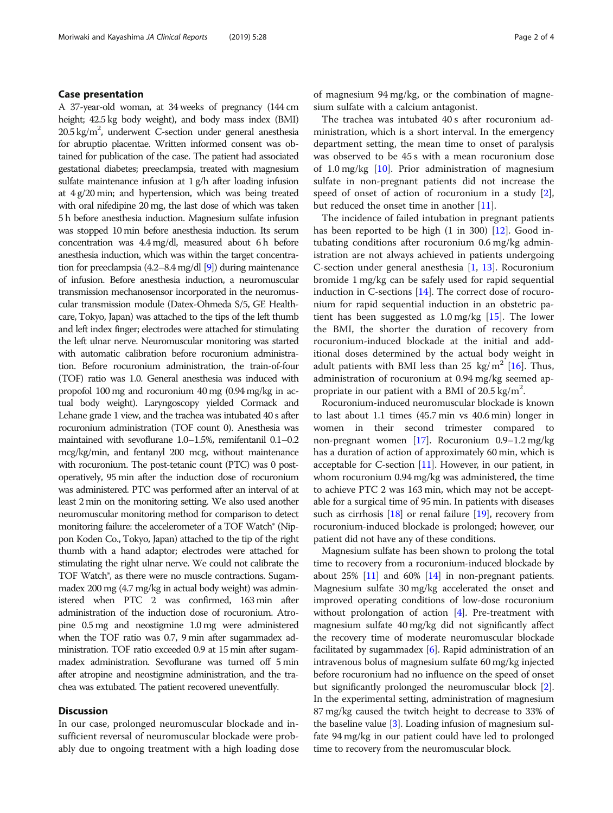### Case presentation

A 37-year-old woman, at 34 weeks of pregnancy (144 cm height; 42.5 kg body weight), and body mass index (BMI) 20.5 kg/m<sup>2</sup>, underwent C-section under general anesthesia for abruptio placentae. Written informed consent was obtained for publication of the case. The patient had associated gestational diabetes; preeclampsia, treated with magnesium sulfate maintenance infusion at 1 g/h after loading infusion at 4 g/20 min; and hypertension, which was being treated with oral nifedipine 20 mg, the last dose of which was taken 5 h before anesthesia induction. Magnesium sulfate infusion was stopped 10 min before anesthesia induction. Its serum concentration was 4.4 mg/dl, measured about 6 h before anesthesia induction, which was within the target concentration for preeclampsia (4.2–8.4 mg/dl [\[9](#page-2-0)]) during maintenance of infusion. Before anesthesia induction, a neuromuscular transmission mechanosensor incorporated in the neuromuscular transmission module (Datex-Ohmeda S/5, GE Healthcare, Tokyo, Japan) was attached to the tips of the left thumb and left index finger; electrodes were attached for stimulating the left ulnar nerve. Neuromuscular monitoring was started with automatic calibration before rocuronium administration. Before rocuronium administration, the train-of-four (TOF) ratio was 1.0. General anesthesia was induced with propofol 100 mg and rocuronium 40 mg (0.94 mg/kg in actual body weight). Laryngoscopy yielded Cormack and Lehane grade 1 view, and the trachea was intubated 40 s after rocuronium administration (TOF count 0). Anesthesia was maintained with sevoflurane 1.0–1.5%, remifentanil 0.1–0.2 mcg/kg/min, and fentanyl 200 mcg, without maintenance with rocuronium. The post-tetanic count (PTC) was 0 postoperatively, 95 min after the induction dose of rocuronium was administered. PTC was performed after an interval of at least 2 min on the monitoring setting. We also used another neuromuscular monitoring method for comparison to detect monitoring failure: the accelerometer of a TOF Watch® (Nippon Koden Co., Tokyo, Japan) attached to the tip of the right thumb with a hand adaptor; electrodes were attached for stimulating the right ulnar nerve. We could not calibrate the TOF Watch®, as there were no muscle contractions. Sugammadex 200 mg (4.7 mg/kg in actual body weight) was administered when PTC 2 was confirmed, 163 min after administration of the induction dose of rocuronium. Atropine 0.5 mg and neostigmine 1.0 mg were administered when the TOF ratio was 0.7, 9 min after sugammadex administration. TOF ratio exceeded 0.9 at 15 min after sugammadex administration. Sevoflurane was turned off 5 min after atropine and neostigmine administration, and the trachea was extubated. The patient recovered uneventfully.

#### **Discussion**

In our case, prolonged neuromuscular blockade and insufficient reversal of neuromuscular blockade were probably due to ongoing treatment with a high loading dose of magnesium 94 mg/kg, or the combination of magnesium sulfate with a calcium antagonist.

The trachea was intubated 40 s after rocuronium administration, which is a short interval. In the emergency department setting, the mean time to onset of paralysis was observed to be 45 s with a mean rocuronium dose of 1.0 mg/kg [[10](#page-2-0)]. Prior administration of magnesium sulfate in non-pregnant patients did not increase the speed of onset of action of rocuronium in a study [\[2](#page-2-0)], but reduced the onset time in another [\[11](#page-2-0)].

The incidence of failed intubation in pregnant patients has been reported to be high  $(1 \text{ in } 300)$   $[12]$  $[12]$ . Good intubating conditions after rocuronium 0.6 mg/kg administration are not always achieved in patients undergoing C-section under general anesthesia [[1,](#page-2-0) [13](#page-3-0)]. Rocuronium bromide 1 mg/kg can be safely used for rapid sequential induction in C-sections [[14](#page-3-0)]. The correct dose of rocuronium for rapid sequential induction in an obstetric patient has been suggested as 1.0 mg/kg [\[15](#page-3-0)]. The lower the BMI, the shorter the duration of recovery from rocuronium-induced blockade at the initial and additional doses determined by the actual body weight in adult patients with BMI less than 25 kg/m<sup>2</sup> [[16](#page-3-0)]. Thus, administration of rocuronium at 0.94 mg/kg seemed appropriate in our patient with a BMI of  $20.5 \text{ kg/m}^2$ .

Rocuronium-induced neuromuscular blockade is known to last about 1.1 times (45.7 min vs 40.6 min) longer in women in their second trimester compared to non-pregnant women [\[17](#page-3-0)]. Rocuronium 0.9–1.2 mg/kg has a duration of action of approximately 60 min, which is acceptable for C-section [[11](#page-2-0)]. However, in our patient, in whom rocuronium 0.94 mg/kg was administered, the time to achieve PTC 2 was 163 min, which may not be acceptable for a surgical time of 95 min. In patients with diseases such as cirrhosis [\[18\]](#page-3-0) or renal failure [\[19\]](#page-3-0), recovery from rocuronium-induced blockade is prolonged; however, our patient did not have any of these conditions.

Magnesium sulfate has been shown to prolong the total time to recovery from a rocuronium-induced blockade by about 25% [[11](#page-2-0)] and 60% [\[14\]](#page-3-0) in non-pregnant patients. Magnesium sulfate 30 mg/kg accelerated the onset and improved operating conditions of low-dose rocuronium without prolongation of action [\[4\]](#page-2-0). Pre-treatment with magnesium sulfate 40 mg/kg did not significantly affect the recovery time of moderate neuromuscular blockade facilitated by sugammadex  $[6]$  $[6]$ . Rapid administration of an intravenous bolus of magnesium sulfate 60 mg/kg injected before rocuronium had no influence on the speed of onset but significantly prolonged the neuromuscular block [[2](#page-2-0)]. In the experimental setting, administration of magnesium 87 mg/kg caused the twitch height to decrease to 33% of the baseline value [\[3](#page-2-0)]. Loading infusion of magnesium sulfate 94 mg/kg in our patient could have led to prolonged time to recovery from the neuromuscular block.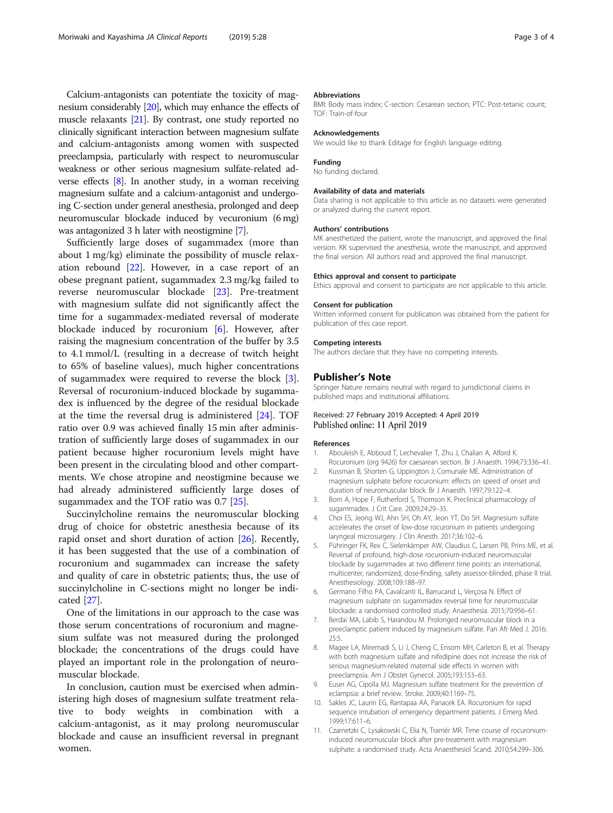<span id="page-2-0"></span>Calcium-antagonists can potentiate the toxicity of magnesium considerably [\[20\]](#page-3-0), which may enhance the effects of muscle relaxants [\[21\]](#page-3-0). By contrast, one study reported no clinically significant interaction between magnesium sulfate and calcium-antagonists among women with suspected preeclampsia, particularly with respect to neuromuscular weakness or other serious magnesium sulfate-related adverse effects [8]. In another study, in a woman receiving magnesium sulfate and a calcium-antagonist and undergoing C-section under general anesthesia, prolonged and deep neuromuscular blockade induced by vecuronium (6 mg) was antagonized 3 h later with neostigmine [7].

Sufficiently large doses of sugammadex (more than about 1 mg/kg) eliminate the possibility of muscle relaxation rebound [[22\]](#page-3-0). However, in a case report of an obese pregnant patient, sugammadex 2.3 mg/kg failed to reverse neuromuscular blockade [\[23](#page-3-0)]. Pre-treatment with magnesium sulfate did not significantly affect the time for a sugammadex-mediated reversal of moderate blockade induced by rocuronium [6]. However, after raising the magnesium concentration of the buffer by 3.5 to 4.1 mmol/L (resulting in a decrease of twitch height to 65% of baseline values), much higher concentrations of sugammadex were required to reverse the block [3]. Reversal of rocuronium-induced blockade by sugammadex is influenced by the degree of the residual blockade at the time the reversal drug is administered [\[24](#page-3-0)]. TOF ratio over 0.9 was achieved finally 15 min after administration of sufficiently large doses of sugammadex in our patient because higher rocuronium levels might have been present in the circulating blood and other compartments. We chose atropine and neostigmine because we had already administered sufficiently large doses of sugammadex and the TOF ratio was 0.7 [[25](#page-3-0)].

Succinylcholine remains the neuromuscular blocking drug of choice for obstetric anesthesia because of its rapid onset and short duration of action [\[26](#page-3-0)]. Recently, it has been suggested that the use of a combination of rocuronium and sugammadex can increase the safety and quality of care in obstetric patients; thus, the use of succinylcholine in C-sections might no longer be indicated [\[27](#page-3-0)].

One of the limitations in our approach to the case was those serum concentrations of rocuronium and magnesium sulfate was not measured during the prolonged blockade; the concentrations of the drugs could have played an important role in the prolongation of neuromuscular blockade.

In conclusion, caution must be exercised when administering high doses of magnesium sulfate treatment relative to body weights in combination with a calcium-antagonist, as it may prolong neuromuscular blockade and cause an insufficient reversal in pregnant women.

#### Abbreviations

BMI: Body mass index; C-section: Cesarean section; PTC: Post-tetanic count; TOF: Train-of-four

#### Acknowledgements

We would like to thank Editage for English language editing.

#### Funding

No funding declared.

#### Availability of data and materials

Data sharing is not applicable to this article as no datasets were generated or analyzed during the current report.

#### Authors' contributions

MK anesthetized the patient, wrote the manuscript, and approved the final version. KK supervised the anesthesia, wrote the manuscript, and approved the final version. All authors read and approved the final manuscript.

#### Ethics approval and consent to participate

Ethics approval and consent to participate are not applicable to this article.

#### Consent for publication

Written informed consent for publication was obtained from the patient for publication of this case report.

#### Competing interests

The authors declare that they have no competing interests.

#### Publisher's Note

Springer Nature remains neutral with regard to jurisdictional claims in published maps and institutional affiliations.

### Received: 27 February 2019 Accepted: 4 April 2019 Published online: 11 April 2019

#### References

- 1. Abouleish E, Abboud T, Lechevalier T, Zhu J, Chalian A, Alford K. Rocuronium (org 9426) for caesarean section. Br J Anaesth. 1994;73:336–41.
- 2. Kussman B, Shorten G, Uppington J, Comunale ME. Administration of magnesium sulphate before rocuronium: effects on speed of onset and duration of neuromuscular block. Br J Anaesth. 1997;79:122–4.
- 3. Bom A, Hope F, Rutherford S, Thomson K. Preclinical pharmacology of sugammadex. J Crit Care. 2009;24:29–35.
- 4. Choi ES, Jeong WJ, Ahn SH, Oh AY, Jeon YT, Do SH. Magnesium sulfate accelerates the onset of low-dose rocuronium in patients undergoing laryngeal microsurgery. J Clin Anesth. 2017;36:102–6.
- 5. Pühringer FK, Rex C, Sielenkämper AW, Claudius C, Larsen PB, Prins ME, et al. Reversal of profound, high-dose rocuronium-induced neuromuscular blockade by sugammadex at two different time points: an international, multicenter, randomized, dose-finding, safety assessor-blinded, phase II trial. Anesthesiology. 2008;109:188–97.
- 6. Germano Filho PA, Cavalcanti IL, Barrucand L, Verçosa N. Effect of magnesium sulphate on sugammadex reversal time for neuromuscular blockade: a randomised controlled study. Anaesthesia. 2015;70:956–61.
- 7. Berdai MA, Labib S, Harandou M. Prolonged neuromuscular block in a preeclamptic patient induced by magnesium sulfate. Pan Afr Med J. 2016; 25:5.
- 8. Magee LA, Miremadi S, Li J, Cheng C, Ensom MH, Carleton B, et al. Therapy with both magnesium sulfate and nifedipine does not increase the risk of serious magnesium-related maternal side effects in women with preeclampsia. Am J Obstet Gynecol. 2005;193:153–63.
- 9. Euser AG, Cipolla MJ. Magnesium sulfate treatment for the prevention of eclampsia: a brief review. Stroke. 2009;40:1169–75.
- 10. Sakles JC, Laurin EG, Rantapaa AA, Panacek EA. Rocuronium for rapid sequence intubation of emergency department patients. J Emerg Med. 1999;17:611–6.
- 11. Czarnetzki C, Lysakowski C, Elia N, Tramèr MR. Time course of rocuroniuminduced neuromuscular block after pre-treatment with magnesium sulphate: a randomised study. Acta Anaesthesiol Scand. 2010;54:299–306.